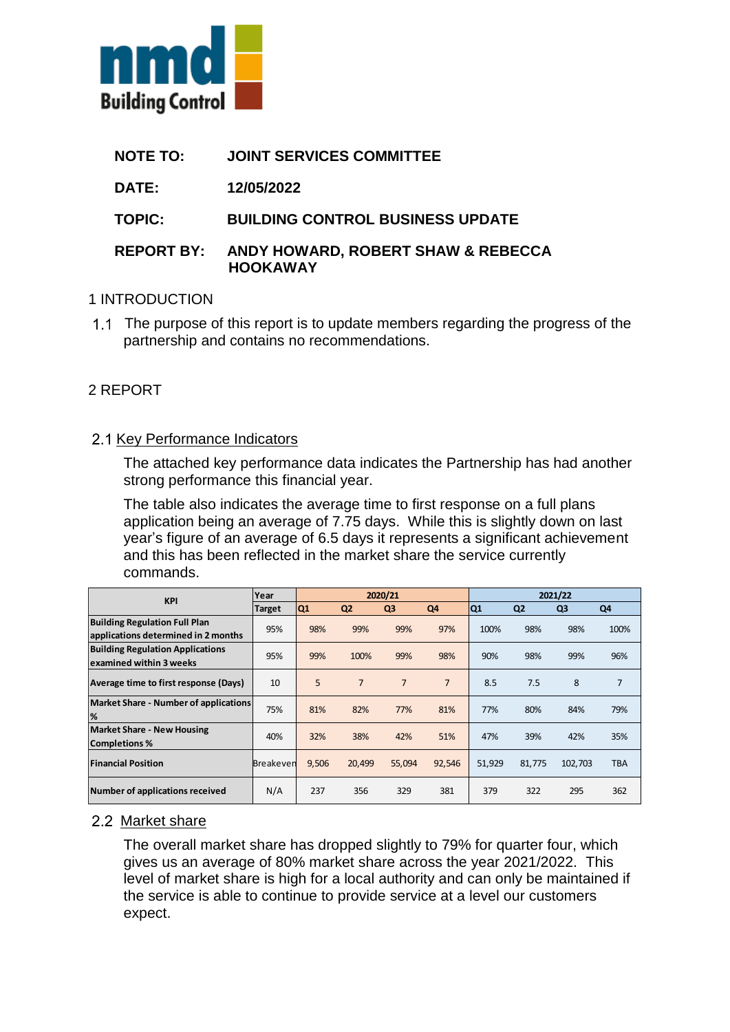

- **NOTE TO: JOINT SERVICES COMMITTEE**
- **DATE: 12/05/2022**

**TOPIC: BUILDING CONTROL BUSINESS UPDATE**

### **REPORT BY: ANDY HOWARD, ROBERT SHAW & REBECCA HOOKAWAY**

#### 1 INTRODUCTION

1.1 The purpose of this report is to update members regarding the progress of the partnership and contains no recommendations.

# 2 REPORT

### 2.1 Key Performance Indicators

The attached key performance data indicates the Partnership has had another strong performance this financial year.

The table also indicates the average time to first response on a full plans application being an average of 7.75 days. While this is slightly down on last year's figure of an average of 6.5 days it represents a significant achievement and this has been reflected in the market share the service currently commands.

| <b>KPI</b>                                                                  | Year             | 2020/21        |                |                |                | 2021/22 |                |                |                |
|-----------------------------------------------------------------------------|------------------|----------------|----------------|----------------|----------------|---------|----------------|----------------|----------------|
|                                                                             | <b>Target</b>    | Q <sub>1</sub> | Q <sub>2</sub> | Q <sub>3</sub> | Q4             | Q1      | Q <sub>2</sub> | Q <sub>3</sub> | Q4             |
| <b>Building Regulation Full Plan</b><br>applications determined in 2 months | 95%              | 98%            | 99%            | 99%            | 97%            | 100%    | 98%            | 98%            | 100%           |
| <b>Building Regulation Applications</b><br>examined within 3 weeks          | 95%              | 99%            | 100%           | 99%            | 98%            | 90%     | 98%            | 99%            | 96%            |
| Average time to first response (Days)                                       | 10               | 5              | $\overline{7}$ | 7              | $\overline{7}$ | 8.5     | 7.5            | 8              | $\overline{7}$ |
| Market Share - Number of applications<br>%                                  | 75%              | 81%            | 82%            | 77%            | 81%            | 77%     | 80%            | 84%            | 79%            |
| <b>Market Share - New Housing</b><br><b>Completions %</b>                   | 40%              | 32%            | 38%            | 42%            | 51%            | 47%     | 39%            | 42%            | 35%            |
| <b>Financial Position</b>                                                   | <b>Breakeven</b> | 9,506          | 20,499         | 55,094         | 92,546         | 51,929  | 81,775         | 102,703        | <b>TBA</b>     |
| Number of applications received                                             | N/A              | 237            | 356            | 329            | 381            | 379     | 322            | 295            | 362            |

# 2.2 Market share

The overall market share has dropped slightly to 79% for quarter four, which gives us an average of 80% market share across the year 2021/2022. This level of market share is high for a local authority and can only be maintained if the service is able to continue to provide service at a level our customers expect.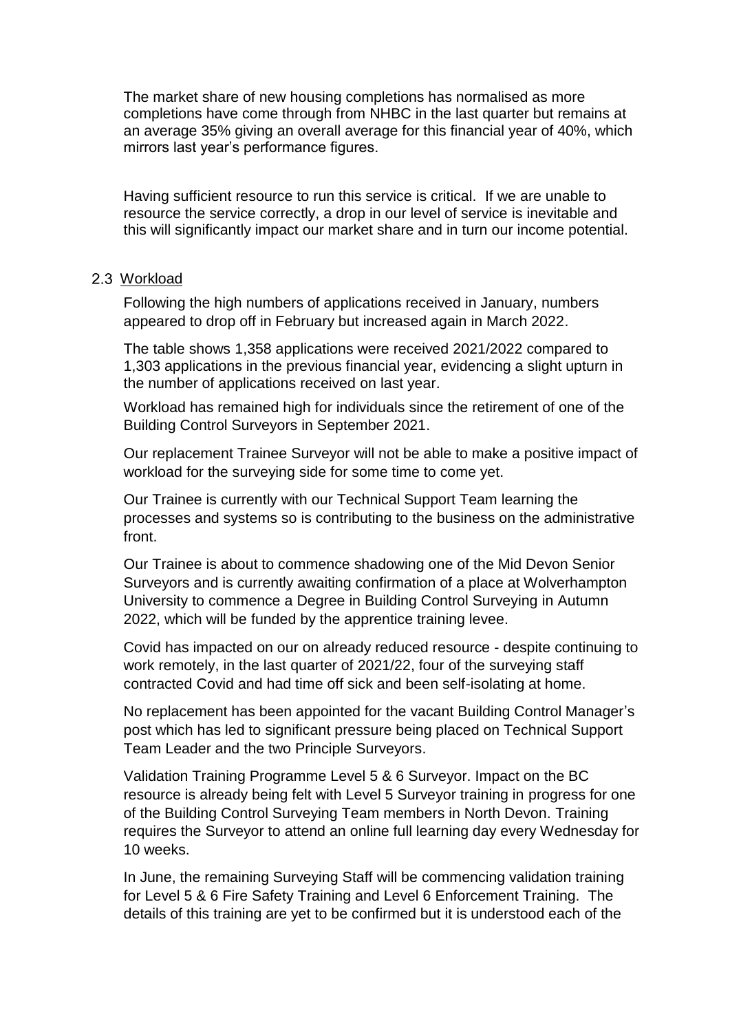The market share of new housing completions has normalised as more completions have come through from NHBC in the last quarter but remains at an average 35% giving an overall average for this financial year of 40%, which mirrors last year's performance figures.

Having sufficient resource to run this service is critical. If we are unable to resource the service correctly, a drop in our level of service is inevitable and this will significantly impact our market share and in turn our income potential.

#### 2.3 Workload

Following the high numbers of applications received in January, numbers appeared to drop off in February but increased again in March 2022.

The table shows 1,358 applications were received 2021/2022 compared to 1,303 applications in the previous financial year, evidencing a slight upturn in the number of applications received on last year.

Workload has remained high for individuals since the retirement of one of the Building Control Surveyors in September 2021.

Our replacement Trainee Surveyor will not be able to make a positive impact of workload for the surveying side for some time to come yet.

Our Trainee is currently with our Technical Support Team learning the processes and systems so is contributing to the business on the administrative front.

Our Trainee is about to commence shadowing one of the Mid Devon Senior Surveyors and is currently awaiting confirmation of a place at Wolverhampton University to commence a Degree in Building Control Surveying in Autumn 2022, which will be funded by the apprentice training levee.

Covid has impacted on our on already reduced resource - despite continuing to work remotely, in the last quarter of 2021/22, four of the surveying staff contracted Covid and had time off sick and been self-isolating at home.

No replacement has been appointed for the vacant Building Control Manager's post which has led to significant pressure being placed on Technical Support Team Leader and the two Principle Surveyors.

Validation Training Programme Level 5 & 6 Surveyor. Impact on the BC resource is already being felt with Level 5 Surveyor training in progress for one of the Building Control Surveying Team members in North Devon. Training requires the Surveyor to attend an online full learning day every Wednesday for 10 weeks.

In June, the remaining Surveying Staff will be commencing validation training for Level 5 & 6 Fire Safety Training and Level 6 Enforcement Training. The details of this training are yet to be confirmed but it is understood each of the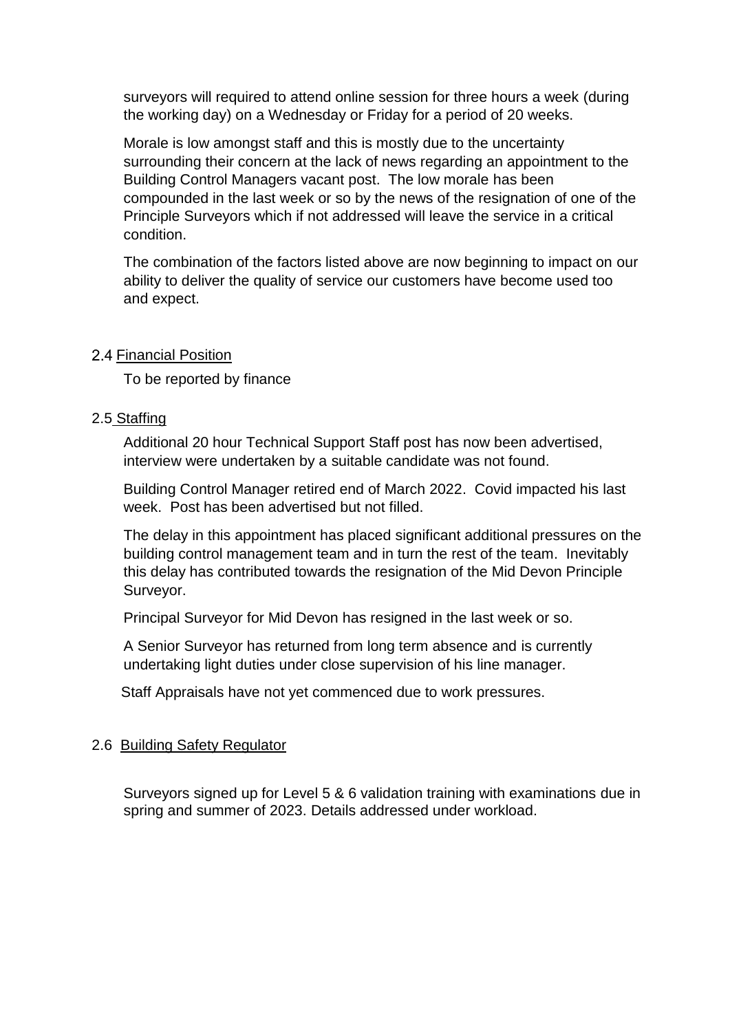surveyors will required to attend online session for three hours a week (during the working day) on a Wednesday or Friday for a period of 20 weeks.

Morale is low amongst staff and this is mostly due to the uncertainty surrounding their concern at the lack of news regarding an appointment to the Building Control Managers vacant post. The low morale has been compounded in the last week or so by the news of the resignation of one of the Principle Surveyors which if not addressed will leave the service in a critical condition.

The combination of the factors listed above are now beginning to impact on our ability to deliver the quality of service our customers have become used too and expect.

#### 2.4 Financial Position

To be reported by finance

### 2.5 Staffing

Additional 20 hour Technical Support Staff post has now been advertised, interview were undertaken by a suitable candidate was not found.

Building Control Manager retired end of March 2022. Covid impacted his last week. Post has been advertised but not filled.

The delay in this appointment has placed significant additional pressures on the building control management team and in turn the rest of the team. Inevitably this delay has contributed towards the resignation of the Mid Devon Principle Surveyor.

Principal Surveyor for Mid Devon has resigned in the last week or so.

A Senior Surveyor has returned from long term absence and is currently undertaking light duties under close supervision of his line manager.

Staff Appraisals have not yet commenced due to work pressures.

#### 2.6 Building Safety Regulator

Surveyors signed up for Level 5 & 6 validation training with examinations due in spring and summer of 2023. Details addressed under workload.